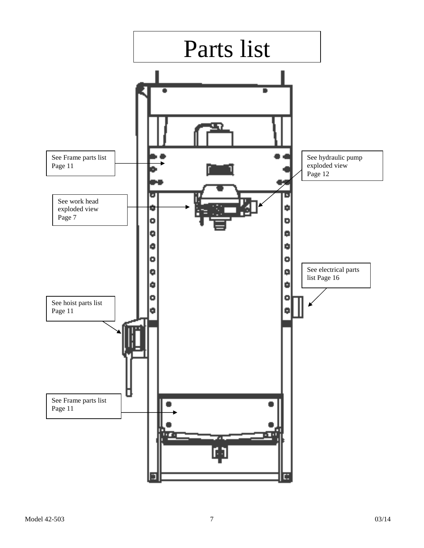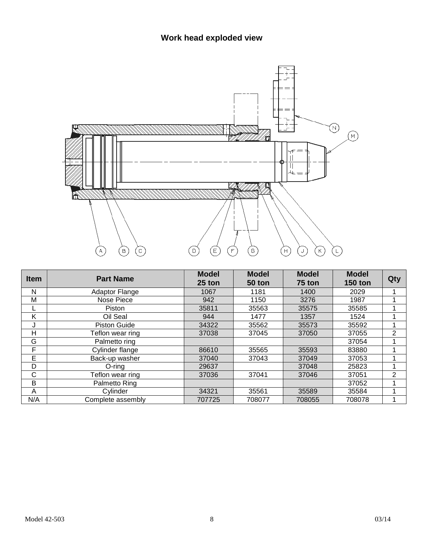

| <b>Item</b> | <b>Part Name</b>      | <b>Model</b><br>$25$ ton | <b>Model</b><br>50 ton | <b>Model</b><br>75 ton | <b>Model</b><br><b>150 ton</b> | Qty            |
|-------------|-----------------------|--------------------------|------------------------|------------------------|--------------------------------|----------------|
| N           | <b>Adaptor Flange</b> | 1067                     | 1181                   | 1400                   | 2029                           |                |
| M           | Nose Piece            | 942                      | 1150                   | 3276                   | 1987                           |                |
|             | Piston                | 35811                    | 35563                  | 35575                  | 35585                          |                |
| K           | Oil Seal              | 944                      | 1477                   | 1357                   | 1524                           |                |
| J           | <b>Piston Guide</b>   | 34322                    | 35562                  | 35573                  | 35592                          |                |
| Н           | Teflon wear ring      | 37038                    | 37045                  | 37050                  | 37055                          | $\overline{2}$ |
| G           | Palmetto ring         |                          |                        |                        | 37054                          |                |
| F           | Cylinder flange       | 86610                    | 35565                  | 35593                  | 83880                          |                |
| Е           | Back-up washer        | 37040                    | 37043                  | 37049                  | 37053                          |                |
| D           | O-rina                | 29637                    |                        | 37048                  | 25823                          |                |
| C           | Teflon wear ring      | 37036                    | 37041                  | 37046                  | 37051                          | 2              |
| B           | Palmetto Ring         |                          |                        |                        | 37052                          |                |
| A           | Cylinder              | 34321                    | 35561                  | 35589                  | 35584                          |                |
| N/A         | Complete assembly     | 707725                   | 708077                 | 708055                 | 708078                         |                |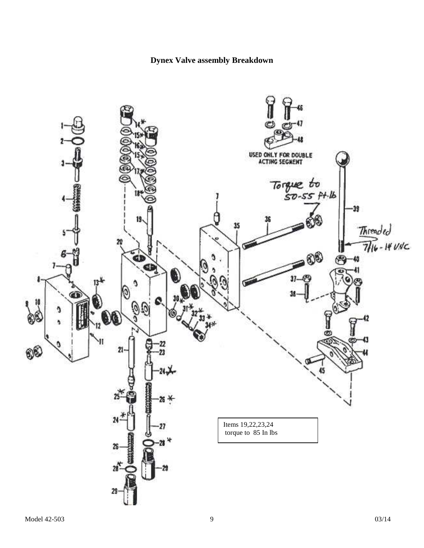### **Dynex Valve assembly Breakdown**

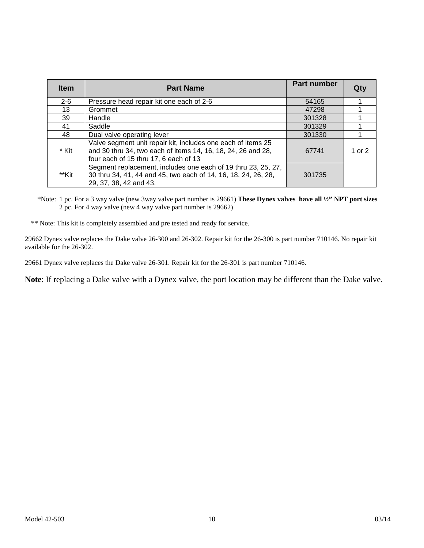| <b>Item</b> | <b>Part Name</b>                                                                                                                                                      | <b>Part number</b> |          |
|-------------|-----------------------------------------------------------------------------------------------------------------------------------------------------------------------|--------------------|----------|
| $2 - 6$     | Pressure head repair kit one each of 2-6                                                                                                                              | 54165              |          |
| 13          | Grommet                                                                                                                                                               | 47298              |          |
| 39          | Handle                                                                                                                                                                | 301328             |          |
| 41          | Saddle                                                                                                                                                                | 301329             |          |
| 48          | Dual valve operating lever                                                                                                                                            | 301330             |          |
| * Kit       | Valve segment unit repair kit, includes one each of items 25<br>and 30 thru 34, two each of items 14, 16, 18, 24, 26 and 28,<br>four each of 15 thru 17, 6 each of 13 | 67741              | 1 or $2$ |
| **Kit       | Segment replacement, includes one each of 19 thru 23, 25, 27,<br>30 thru 34, 41, 44 and 45, two each of 14, 16, 18, 24, 26, 28,<br>29, 37, 38, 42 and 43.             | 301735             |          |

\*Note: 1 pc. For a 3 way valve (new 3way valve part number is 29661) **These Dynex valves have all ½" NPT port sizes** 2 pc. For 4 way valve (new 4 way valve part number is 29662)

\*\* Note: This kit is completely assembled and pre tested and ready for service.

29662 Dynex valve replaces the Dake valve 26-300 and 26-302. Repair kit for the 26-300 is part number 710146. No repair kit available for the 26-302.

29661 Dynex valve replaces the Dake valve 26-301. Repair kit for the 26-301 is part number 710146.

**Note**: If replacing a Dake valve with a Dynex valve, the port location may be different than the Dake valve.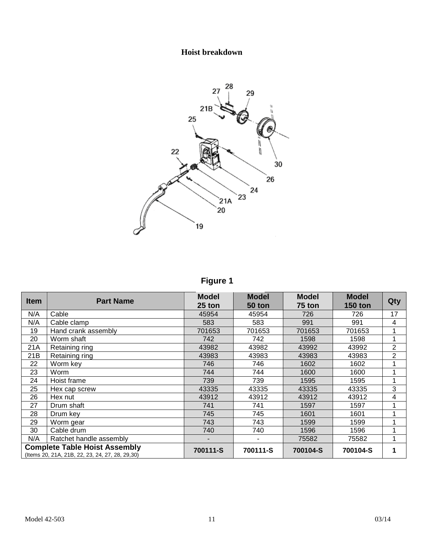## **Hoist breakdown**



**Figure 1**

| <b>Item</b> | <b>Part Name</b>                                                                         | <b>Model</b><br>25 ton | <b>Model</b><br><b>50 ton</b> | <b>Model</b><br>75 ton | <b>Model</b><br><b>150 ton</b> | Qty            |
|-------------|------------------------------------------------------------------------------------------|------------------------|-------------------------------|------------------------|--------------------------------|----------------|
| N/A         | Cable                                                                                    | 45954                  | 45954                         | 726                    | 726                            | 17             |
| N/A         | Cable clamp                                                                              | 583                    | 583                           | 991                    | 991                            | 4              |
| 19          | Hand crank assembly                                                                      | 701653                 | 701653                        | 701653                 | 701653                         |                |
| 20          | Worm shaft                                                                               | 742                    | 742                           | 1598                   | 1598                           | ◢              |
| 21A         | Retaining ring                                                                           | 43982                  | 43982                         | 43992                  | 43992                          | 2              |
| 21B         | Retaining ring                                                                           | 43983                  | 43983                         | 43983                  | 43983                          | $\overline{2}$ |
| 22          | Worm key                                                                                 | 746                    | 746                           | 1602                   | 1602                           |                |
| 23          | Worm                                                                                     | 744                    | 744                           | 1600                   | 1600                           | 1              |
| 24          | Hoist frame                                                                              | 739                    | 739                           | 1595                   | 1595                           |                |
| 25          | Hex cap screw                                                                            | 43335                  | 43335                         | 43335                  | 43335                          | 3              |
| 26          | Hex nut                                                                                  | 43912                  | 43912                         | 43912                  | 43912                          | 4              |
| 27          | Drum shaft                                                                               | 741                    | 741                           | 1597                   | 1597                           |                |
| 28          | Drum key                                                                                 | 745                    | 745                           | 1601                   | 1601                           |                |
| 29          | Worm gear                                                                                | 743                    | 743                           | 1599                   | 1599                           |                |
| 30          | Cable drum                                                                               | 740                    | 740                           | 1596                   | 1596                           |                |
| N/A         | Ratchet handle assembly                                                                  |                        |                               | 75582                  | 75582                          |                |
|             | <b>Complete Table Hoist Assembly</b><br>(Items 20, 21A, 21B, 22, 23, 24, 27, 28, 29, 30) | 700111-S               | 700111-S                      | 700104-S               | 700104-S                       |                |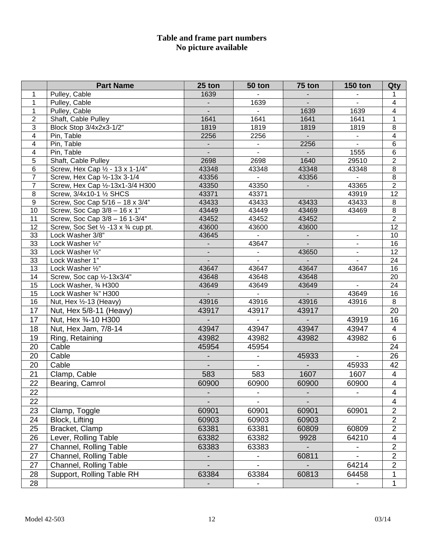#### **Table and frame part numbers No picture available**

|                         | <b>Part Name</b>                               | 25 ton                   | 50 ton                   | 75 ton                   | <b>150 ton</b>           | Qty                     |
|-------------------------|------------------------------------------------|--------------------------|--------------------------|--------------------------|--------------------------|-------------------------|
| 1                       | Pulley, Cable                                  | 1639                     |                          |                          |                          | 1                       |
| 1                       | Pulley, Cable                                  |                          | 1639                     |                          | $\blacksquare$           | $\overline{\mathbf{4}}$ |
| $\mathbf{1}$            | Pulley, Cable                                  |                          |                          | 1639                     | 1639                     | $\overline{\mathbf{4}}$ |
| $\overline{c}$          | Shaft, Cable Pulley                            | 1641                     | 1641                     | 1641                     | 1641                     | $\overline{1}$          |
| 3                       | Block Stop 3/4x2x3-1/2"                        | 1819                     | 1819                     | 1819                     | 1819                     | $\overline{8}$          |
| 4                       | Pin, Table                                     | 2256                     | 2256                     | $\overline{\phantom{a}}$ | $\blacksquare$           | $\overline{4}$          |
| $\overline{\mathbf{4}}$ | Pin, Table                                     | $\blacksquare$           | $\overline{\phantom{a}}$ | 2256                     | $\blacksquare$           | $\overline{6}$          |
| $\overline{\mathbf{4}}$ | Pin, Table                                     | $\overline{\phantom{a}}$ | $\overline{\phantom{a}}$ |                          | 1555                     | $\overline{6}$          |
| $\overline{5}$          | Shaft, Cable Pulley                            | 2698                     | 2698                     | 1640                     | 29510                    | $\overline{2}$          |
| 6                       | Screw, Hex Cap 1/2 - 13 x 1-1/4"               | 43348                    | 43348                    | 43348                    | 43348                    | $\overline{8}$          |
| $\overline{7}$          | Screw, Hex Cap 1/2-13x 3-1/4                   | 43356                    |                          | 43356                    |                          | $\overline{8}$          |
| $\overline{7}$          | Screw, Hex Cap 1/2-13x1-3/4 H300               | 43350                    | 43350                    | $\overline{\phantom{a}}$ | 43365                    | $\overline{2}$          |
| 8                       | Screw, 3/4x10-1 1/2 SHCS                       | 43371                    | 43371                    |                          | 43919                    | $\overline{12}$         |
| $\boldsymbol{9}$        | Screw, Soc Cap 5/16 - 18 x 3/4"                | 43433                    | 43433                    | 43433                    | 43433                    | $\,8\,$                 |
| 10                      | Screw, Soc Cap 3/8 - 16 x 1"                   | 43449                    | 43449                    | 43469                    | 43469                    | $\infty$                |
| 11                      | Screw, Soc Cap 3/8 - 16 1-3/4"                 | 43452                    | 43452                    | 43452                    |                          | $\overline{2}$          |
| 12                      | Screw, Soc Set 1/2 - 13 x 3/4 cup pt.          | 43600                    | 43600                    | 43600                    |                          | $\overline{12}$         |
| 33                      | Lock Washer 3/8"                               | 43645                    |                          | $\overline{\phantom{a}}$ | $\blacksquare$           | 10                      |
| 33                      | Lock Washer 1/2"                               |                          | 43647                    |                          | $\blacksquare$           | 16                      |
| 33                      | Lock Washer 1/2"                               | ٠                        | $\overline{\phantom{a}}$ | 43650                    | $\blacksquare$           | 12                      |
| 33                      | Lock Washer 1"                                 | $\blacksquare$           | 43647                    | 43647                    | $\blacksquare$           | 24                      |
| 13<br>14                | Lock Washer 1/2"<br>Screw, Soc cap 1/2-13x3/4" | 43647<br>43648           | 43648                    |                          | 43647                    | 16<br>20                |
| 15                      | Lock Washer, 3⁄4 H300                          | 43649                    | 43649                    | 43648<br>43649           | $\blacksquare$           | 24                      |
| $\overline{15}$         | Lock Washer 3/4" H300                          |                          |                          |                          | 43649                    | 16                      |
| 16                      | Nut, Hex 1/2-13 (Heavy)                        | 43916                    | 43916                    | 43916                    | 43916                    | 8                       |
| 17                      | Nut, Hex 5/8-11 (Heavy)                        | 43917                    | 43917                    | 43917                    |                          | 20                      |
| 17                      | Nut, Hex 3/4-10 H300                           | $\blacksquare$           |                          | $\overline{\phantom{a}}$ | 43919                    | 16                      |
|                         |                                                | 43947                    | 43947                    |                          |                          |                         |
| 18                      | Nut, Hex Jam, 7/8-14                           |                          |                          | 43947                    | 43947                    | 4                       |
| 19                      | Ring, Retaining                                | 43982                    | 43982                    | 43982                    | 43982                    | $\overline{6}$          |
| 20                      | Cable                                          | 45954                    | 45954                    |                          |                          | 24                      |
| 20                      | Cable                                          |                          | $\overline{\phantom{0}}$ | 45933                    | $\overline{\phantom{a}}$ | 26                      |
| 20                      | Cable                                          |                          | $\blacksquare$           |                          | 45933                    | 42                      |
| 21                      | Clamp, Cable                                   | 583                      | 583                      | 1607                     | 1607                     | $\overline{4}$          |
| $\overline{22}$         | Bearing, Camrol                                | 60900                    | 60900                    | 60900                    | 60900                    | $\overline{4}$          |
| 22                      |                                                |                          |                          |                          |                          | 4                       |
| 22                      |                                                |                          |                          |                          |                          | $\overline{4}$          |
| 23                      | Clamp, Toggle                                  | 60901                    | 60901                    | 60901                    | 60901                    | $\overline{2}$          |
| 24                      | Block, Lifting                                 | 60903                    | 60903                    | 60903                    |                          | $\overline{2}$          |
| 25                      | Bracket, Clamp                                 | 63381                    | 63381                    | 60809                    | 60809                    | $\overline{2}$          |
| 26                      | Lever, Rolling Table                           | 63382                    | 63382                    | 9928                     | 64210                    | $\overline{\mathbf{4}}$ |
| 27                      | Channel, Rolling Table                         | 63383                    | 63383                    |                          | $\blacksquare$           | $\overline{2}$          |
| 27                      | Channel, Rolling Table                         | $\overline{\phantom{a}}$ |                          | 60811                    | $\blacksquare$           | $\overline{2}$          |
| 27                      | Channel, Rolling Table                         |                          |                          |                          | 64214                    | $\overline{2}$          |
| 28                      | Support, Rolling Table RH                      | 63384                    | 63384                    | 60813                    | 64458                    | 1                       |
|                         |                                                |                          |                          |                          |                          | $\mathbf{1}$            |
| 28                      |                                                |                          |                          |                          | $\overline{\phantom{a}}$ |                         |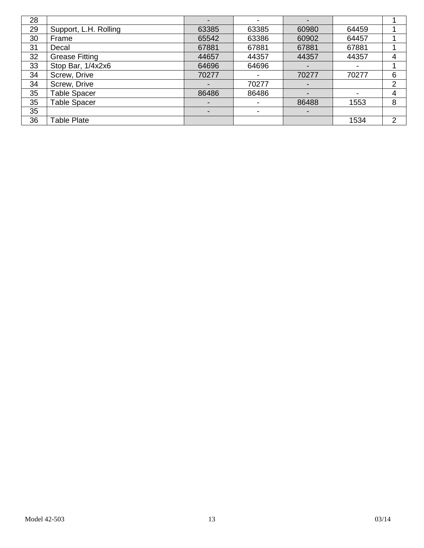| 28 |                       |                          |       |       |       |   |
|----|-----------------------|--------------------------|-------|-------|-------|---|
| 29 | Support, L.H. Rolling | 63385                    | 63385 | 60980 | 64459 |   |
| 30 | Frame                 | 65542                    | 63386 | 60902 | 64457 |   |
| 31 | Decal                 | 67881                    | 67881 | 67881 | 67881 |   |
| 32 | <b>Grease Fitting</b> | 44657                    | 44357 | 44357 | 44357 | 4 |
| 33 | Stop Bar, 1/4x2x6     | 64696                    | 64696 |       |       |   |
| 34 | Screw, Drive          | 70277                    | -     | 70277 | 70277 | 6 |
| 34 | Screw, Drive          | $\overline{\phantom{a}}$ | 70277 |       |       | 2 |
| 35 | <b>Table Spacer</b>   | 86486                    | 86486 |       | ٠     | 4 |
| 35 | <b>Table Spacer</b>   | $\overline{\phantom{a}}$ | -     | 86488 | 1553  | 8 |
| 35 |                       | -                        |       |       |       |   |
| 36 | <b>Table Plate</b>    |                          |       |       | 1534  | າ |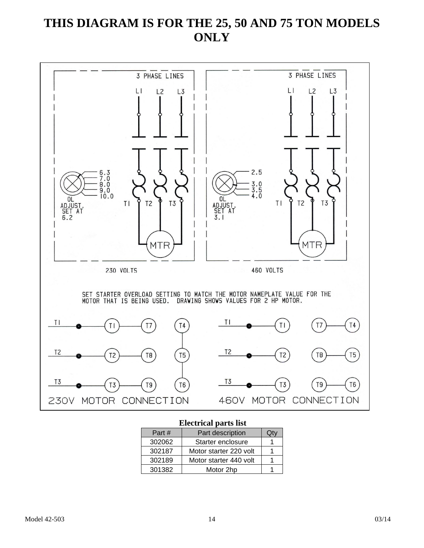# **THIS DIAGRAM IS FOR THE 25, 50 AND 75 TON MODELS ONLY**



#### **Electrical parts list**

| Part#  | Part description       |  |  |  |
|--------|------------------------|--|--|--|
| 302062 | Starter enclosure      |  |  |  |
| 302187 | Motor starter 220 volt |  |  |  |
| 302189 | Motor starter 440 volt |  |  |  |
| 301382 | Motor 2hp              |  |  |  |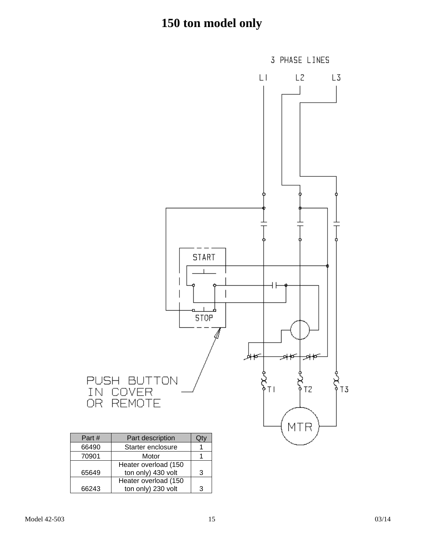

| Part# | Part description     |   |
|-------|----------------------|---|
| 66490 | Starter enclosure    |   |
| 70901 | Motor                |   |
|       | Heater overload (150 |   |
| 65649 | ton only) 430 volt   | з |
|       | Heater overload (150 |   |
| 66243 | ton only) 230 volt   | ว |